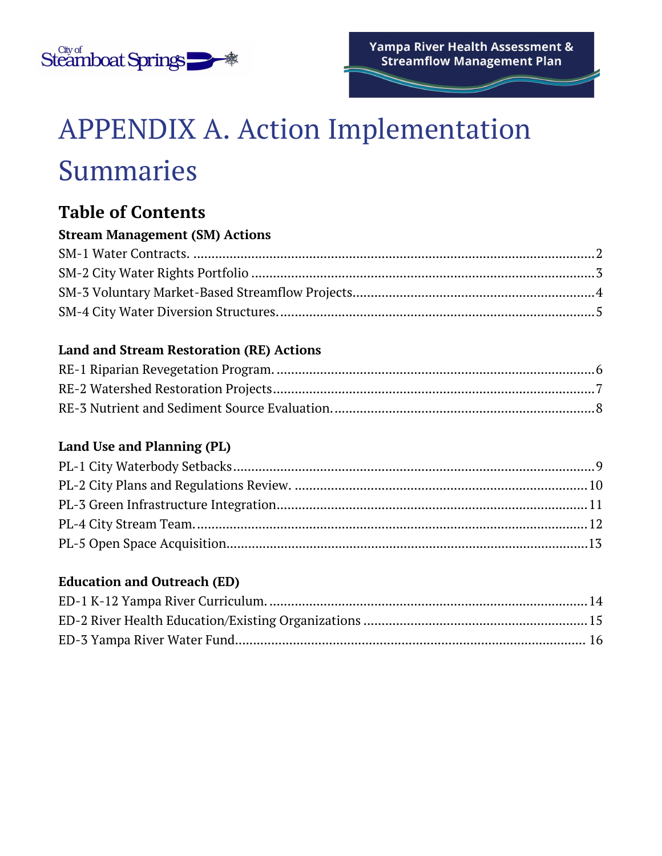

# APPENDIX A. Action Implementation Summaries

# **Table of Contents**

#### **Stream Management (SM) Actions**

#### **Land and Stream Restoration (RE) Actions**

#### **Land Use and Planning (PL)**

#### **Education and Outreach (ED)**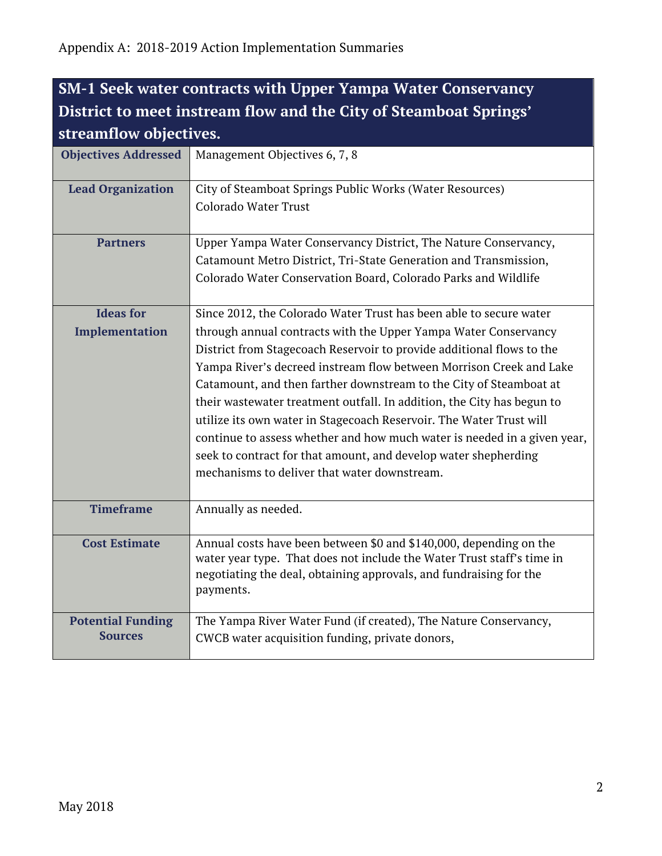### <span id="page-1-0"></span>**SM-1 Seek water contracts with Upper Yampa Water Conservancy District to meet instream flow and the City of Steamboat Springs' streamflow objectives.**

<span id="page-1-1"></span>

| <b>Objectives Addressed</b>                | Management Objectives 6, 7, 8                                                                                                                                                                                                                                                                                                                                                                                                                                                                                                                                                                                                                                                                               |
|--------------------------------------------|-------------------------------------------------------------------------------------------------------------------------------------------------------------------------------------------------------------------------------------------------------------------------------------------------------------------------------------------------------------------------------------------------------------------------------------------------------------------------------------------------------------------------------------------------------------------------------------------------------------------------------------------------------------------------------------------------------------|
| <b>Lead Organization</b>                   | City of Steamboat Springs Public Works (Water Resources)<br>Colorado Water Trust                                                                                                                                                                                                                                                                                                                                                                                                                                                                                                                                                                                                                            |
| <b>Partners</b>                            | Upper Yampa Water Conservancy District, The Nature Conservancy,<br>Catamount Metro District, Tri-State Generation and Transmission,<br>Colorado Water Conservation Board, Colorado Parks and Wildlife                                                                                                                                                                                                                                                                                                                                                                                                                                                                                                       |
| <b>Ideas for</b><br>Implementation         | Since 2012, the Colorado Water Trust has been able to secure water<br>through annual contracts with the Upper Yampa Water Conservancy<br>District from Stagecoach Reservoir to provide additional flows to the<br>Yampa River's decreed instream flow between Morrison Creek and Lake<br>Catamount, and then farther downstream to the City of Steamboat at<br>their wastewater treatment outfall. In addition, the City has begun to<br>utilize its own water in Stagecoach Reservoir. The Water Trust will<br>continue to assess whether and how much water is needed in a given year,<br>seek to contract for that amount, and develop water shepherding<br>mechanisms to deliver that water downstream. |
| <b>Timeframe</b>                           | Annually as needed.                                                                                                                                                                                                                                                                                                                                                                                                                                                                                                                                                                                                                                                                                         |
| <b>Cost Estimate</b>                       | Annual costs have been between \$0 and \$140,000, depending on the<br>water year type. That does not include the Water Trust staff's time in<br>negotiating the deal, obtaining approvals, and fundraising for the<br>payments.                                                                                                                                                                                                                                                                                                                                                                                                                                                                             |
| <b>Potential Funding</b><br><b>Sources</b> | The Yampa River Water Fund (if created), The Nature Conservancy,<br>CWCB water acquisition funding, private donors,                                                                                                                                                                                                                                                                                                                                                                                                                                                                                                                                                                                         |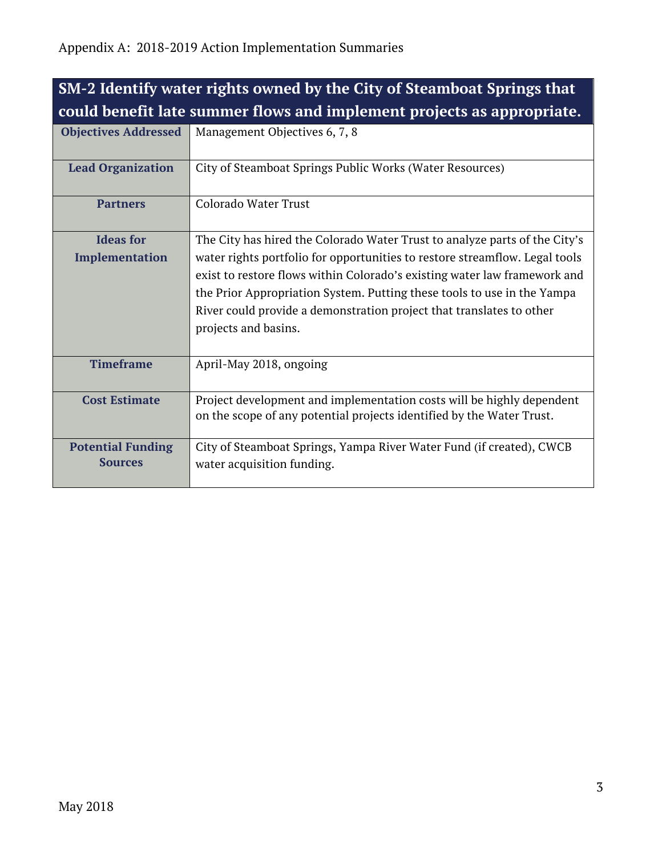| SM-2 Identify water rights owned by the City of Steamboat Springs that |                                                                                                                                                                                                                                                                                                                                                                                                                   |
|------------------------------------------------------------------------|-------------------------------------------------------------------------------------------------------------------------------------------------------------------------------------------------------------------------------------------------------------------------------------------------------------------------------------------------------------------------------------------------------------------|
|                                                                        | could benefit late summer flows and implement projects as appropriate.                                                                                                                                                                                                                                                                                                                                            |
| <b>Objectives Addressed</b>                                            | Management Objectives 6, 7, 8                                                                                                                                                                                                                                                                                                                                                                                     |
| <b>Lead Organization</b>                                               | City of Steamboat Springs Public Works (Water Resources)                                                                                                                                                                                                                                                                                                                                                          |
| <b>Partners</b>                                                        | <b>Colorado Water Trust</b>                                                                                                                                                                                                                                                                                                                                                                                       |
| <b>Ideas for</b><br>Implementation                                     | The City has hired the Colorado Water Trust to analyze parts of the City's<br>water rights portfolio for opportunities to restore streamflow. Legal tools<br>exist to restore flows within Colorado's existing water law framework and<br>the Prior Appropriation System. Putting these tools to use in the Yampa<br>River could provide a demonstration project that translates to other<br>projects and basins. |
| <b>Timeframe</b>                                                       | April-May 2018, ongoing                                                                                                                                                                                                                                                                                                                                                                                           |
| <b>Cost Estimate</b>                                                   | Project development and implementation costs will be highly dependent<br>on the scope of any potential projects identified by the Water Trust.                                                                                                                                                                                                                                                                    |
| <b>Potential Funding</b><br><b>Sources</b>                             | City of Steamboat Springs, Yampa River Water Fund (if created), CWCB<br>water acquisition funding.                                                                                                                                                                                                                                                                                                                |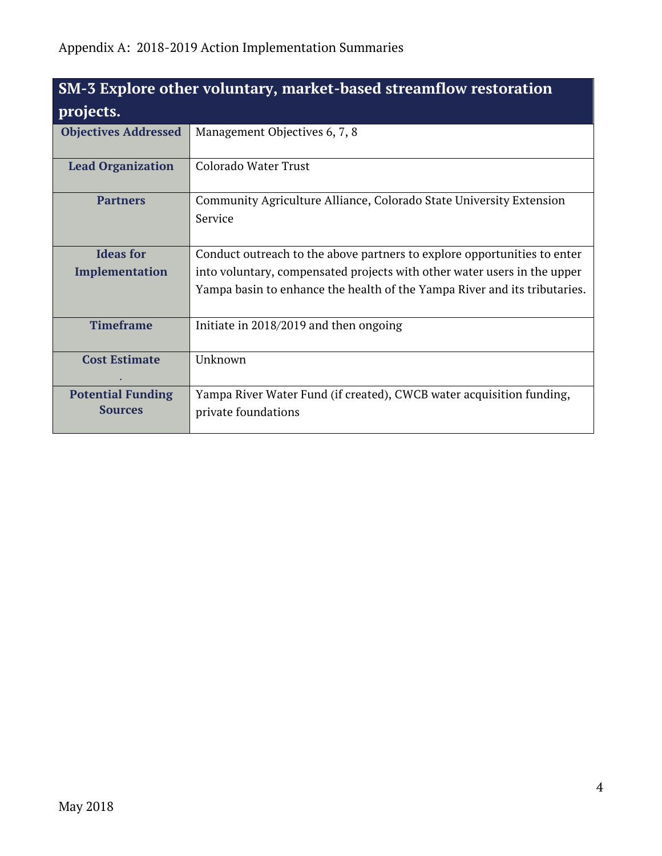<span id="page-3-0"></span>

| SM-3 Explore other voluntary, market-based streamflow restoration<br>projects. |                                                                                             |
|--------------------------------------------------------------------------------|---------------------------------------------------------------------------------------------|
| <b>Objectives Addressed</b>                                                    | Management Objectives 6, 7, 8                                                               |
| <b>Lead Organization</b>                                                       | Colorado Water Trust                                                                        |
| <b>Partners</b>                                                                | Community Agriculture Alliance, Colorado State University Extension<br>Service              |
| <b>Ideas for</b>                                                               | Conduct outreach to the above partners to explore opportunities to enter                    |
| Implementation                                                                 | into voluntary, compensated projects with other water users in the upper                    |
|                                                                                | Yampa basin to enhance the health of the Yampa River and its tributaries.                   |
| <b>Timeframe</b>                                                               | Initiate in 2018/2019 and then ongoing                                                      |
| <b>Cost Estimate</b>                                                           | Unknown                                                                                     |
| <b>Potential Funding</b><br><b>Sources</b>                                     | Yampa River Water Fund (if created), CWCB water acquisition funding,<br>private foundations |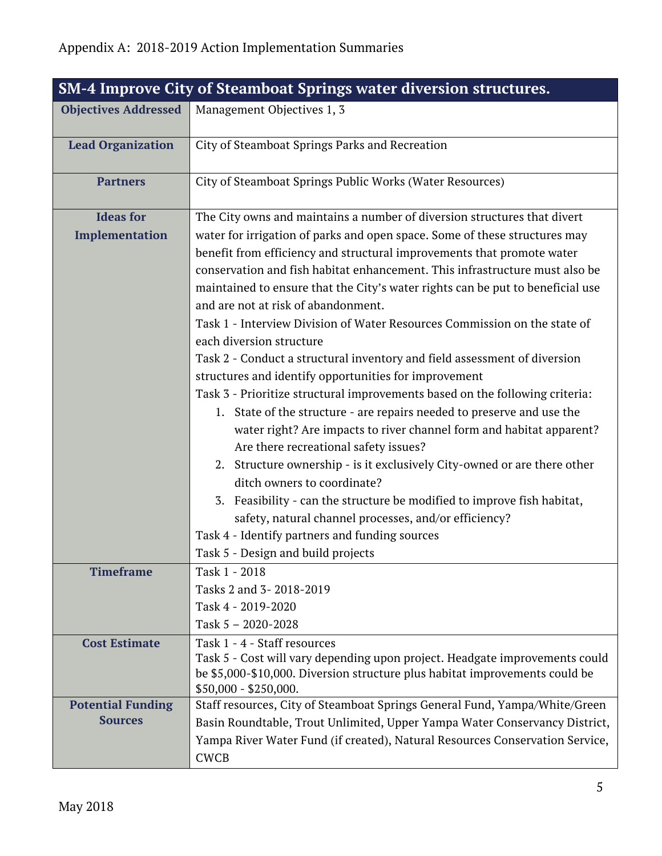<span id="page-4-0"></span>

| <b>SM-4 Improve City of Steamboat Springs water diversion structures.</b> |                                                                                                     |  |
|---------------------------------------------------------------------------|-----------------------------------------------------------------------------------------------------|--|
| <b>Objectives Addressed</b>                                               | Management Objectives 1, 3                                                                          |  |
| <b>Lead Organization</b>                                                  | City of Steamboat Springs Parks and Recreation                                                      |  |
| <b>Partners</b>                                                           | City of Steamboat Springs Public Works (Water Resources)                                            |  |
| <b>Ideas for</b>                                                          | The City owns and maintains a number of diversion structures that divert                            |  |
| Implementation                                                            | water for irrigation of parks and open space. Some of these structures may                          |  |
|                                                                           | benefit from efficiency and structural improvements that promote water                              |  |
|                                                                           | conservation and fish habitat enhancement. This infrastructure must also be                         |  |
|                                                                           | maintained to ensure that the City's water rights can be put to beneficial use                      |  |
|                                                                           | and are not at risk of abandonment.                                                                 |  |
|                                                                           | Task 1 - Interview Division of Water Resources Commission on the state of                           |  |
|                                                                           | each diversion structure                                                                            |  |
|                                                                           | Task 2 - Conduct a structural inventory and field assessment of diversion                           |  |
|                                                                           | structures and identify opportunities for improvement                                               |  |
|                                                                           | Task 3 - Prioritize structural improvements based on the following criteria:                        |  |
|                                                                           | 1. State of the structure - are repairs needed to preserve and use the                              |  |
|                                                                           | water right? Are impacts to river channel form and habitat apparent?                                |  |
|                                                                           | Are there recreational safety issues?                                                               |  |
|                                                                           | 2. Structure ownership - is it exclusively City-owned or are there other                            |  |
|                                                                           | ditch owners to coordinate?                                                                         |  |
|                                                                           | 3. Feasibility - can the structure be modified to improve fish habitat,                             |  |
|                                                                           | safety, natural channel processes, and/or efficiency?                                               |  |
|                                                                           | Task 4 - Identify partners and funding sources                                                      |  |
|                                                                           | Task 5 - Design and build projects                                                                  |  |
| <b>Timeframe</b>                                                          | Task 1 - 2018                                                                                       |  |
|                                                                           | Tasks 2 and 3-2018-2019                                                                             |  |
|                                                                           | Task 4 - 2019-2020                                                                                  |  |
|                                                                           | Task $5 - 2020 - 2028$                                                                              |  |
| <b>Cost Estimate</b>                                                      | Task 1 - 4 - Staff resources                                                                        |  |
|                                                                           | Task 5 - Cost will vary depending upon project. Headgate improvements could                         |  |
|                                                                           | be \$5,000-\$10,000. Diversion structure plus habitat improvements could be                         |  |
| <b>Potential Funding</b>                                                  | $$50,000 - $250,000.$<br>Staff resources, City of Steamboat Springs General Fund, Yampa/White/Green |  |
| <b>Sources</b>                                                            | Basin Roundtable, Trout Unlimited, Upper Yampa Water Conservancy District,                          |  |
|                                                                           | Yampa River Water Fund (if created), Natural Resources Conservation Service,                        |  |
|                                                                           | <b>CWCB</b>                                                                                         |  |
|                                                                           |                                                                                                     |  |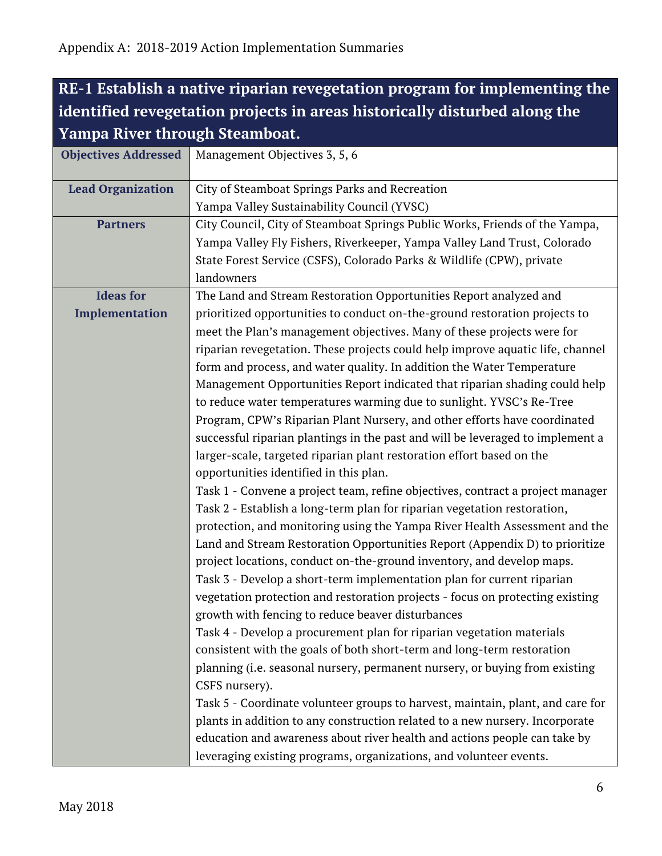## <span id="page-5-0"></span>**RE-1 Establish a native riparian revegetation program for implementing the identified revegetation projects in areas historically disturbed along the Yampa River through Steamboat.**

| <b>Objectives Addressed</b> | Management Objectives 3, 5, 6                                                                 |
|-----------------------------|-----------------------------------------------------------------------------------------------|
| <b>Lead Organization</b>    | City of Steamboat Springs Parks and Recreation                                                |
|                             | Yampa Valley Sustainability Council (YVSC)                                                    |
| <b>Partners</b>             | City Council, City of Steamboat Springs Public Works, Friends of the Yampa,                   |
|                             | Yampa Valley Fly Fishers, Riverkeeper, Yampa Valley Land Trust, Colorado                      |
|                             | State Forest Service (CSFS), Colorado Parks & Wildlife (CPW), private                         |
|                             | landowners                                                                                    |
| <b>Ideas for</b>            | The Land and Stream Restoration Opportunities Report analyzed and                             |
| Implementation              | prioritized opportunities to conduct on-the-ground restoration projects to                    |
|                             | meet the Plan's management objectives. Many of these projects were for                        |
|                             | riparian revegetation. These projects could help improve aquatic life, channel                |
|                             | form and process, and water quality. In addition the Water Temperature                        |
|                             | Management Opportunities Report indicated that riparian shading could help                    |
|                             | to reduce water temperatures warming due to sunlight. YVSC's Re-Tree                          |
|                             | Program, CPW's Riparian Plant Nursery, and other efforts have coordinated                     |
|                             | successful riparian plantings in the past and will be leveraged to implement a                |
|                             | larger-scale, targeted riparian plant restoration effort based on the                         |
|                             | opportunities identified in this plan.                                                        |
|                             | Task 1 - Convene a project team, refine objectives, contract a project manager                |
|                             | Task 2 - Establish a long-term plan for riparian vegetation restoration,                      |
|                             | protection, and monitoring using the Yampa River Health Assessment and the                    |
|                             | Land and Stream Restoration Opportunities Report (Appendix D) to prioritize                   |
|                             | project locations, conduct on-the-ground inventory, and develop maps.                         |
|                             | Task 3 - Develop a short-term implementation plan for current riparian                        |
|                             | vegetation protection and restoration projects - focus on protecting existing                 |
|                             | growth with fencing to reduce beaver disturbances                                             |
|                             | Task 4 - Develop a procurement plan for riparian vegetation materials                         |
|                             | consistent with the goals of both short-term and long-term restoration                        |
|                             | planning (i.e. seasonal nursery, permanent nursery, or buying from existing<br>CSFS nursery). |
|                             | Task 5 - Coordinate volunteer groups to harvest, maintain, plant, and care for                |
|                             | plants in addition to any construction related to a new nursery. Incorporate                  |
|                             | education and awareness about river health and actions people can take by                     |
|                             | leveraging existing programs, organizations, and volunteer events.                            |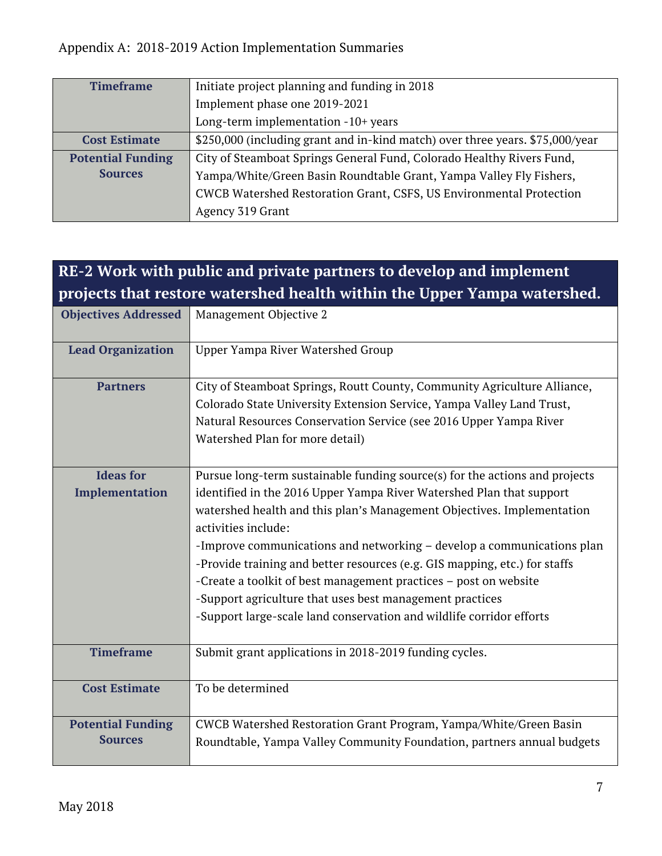| <b>Timeframe</b>         | Initiate project planning and funding in 2018                                 |
|--------------------------|-------------------------------------------------------------------------------|
|                          | Implement phase one 2019-2021                                                 |
|                          | Long-term implementation -10+ years                                           |
| <b>Cost Estimate</b>     | \$250,000 (including grant and in-kind match) over three years. \$75,000/year |
| <b>Potential Funding</b> | City of Steamboat Springs General Fund, Colorado Healthy Rivers Fund,         |
| <b>Sources</b>           | Yampa/White/Green Basin Roundtable Grant, Yampa Valley Fly Fishers,           |
|                          | CWCB Watershed Restoration Grant, CSFS, US Environmental Protection           |
|                          | Agency 319 Grant                                                              |

<span id="page-6-0"></span>

| RE-2 Work with public and private partners to develop and implement |                                                                                                                                                                                                                                                                                                                                                                                                                                                                                                                                                                                                                      |  |
|---------------------------------------------------------------------|----------------------------------------------------------------------------------------------------------------------------------------------------------------------------------------------------------------------------------------------------------------------------------------------------------------------------------------------------------------------------------------------------------------------------------------------------------------------------------------------------------------------------------------------------------------------------------------------------------------------|--|
|                                                                     | projects that restore watershed health within the Upper Yampa watershed.                                                                                                                                                                                                                                                                                                                                                                                                                                                                                                                                             |  |
| <b>Objectives Addressed</b>                                         | Management Objective 2                                                                                                                                                                                                                                                                                                                                                                                                                                                                                                                                                                                               |  |
| <b>Lead Organization</b>                                            | Upper Yampa River Watershed Group                                                                                                                                                                                                                                                                                                                                                                                                                                                                                                                                                                                    |  |
| <b>Partners</b>                                                     | City of Steamboat Springs, Routt County, Community Agriculture Alliance,<br>Colorado State University Extension Service, Yampa Valley Land Trust,<br>Natural Resources Conservation Service (see 2016 Upper Yampa River<br>Watershed Plan for more detail)                                                                                                                                                                                                                                                                                                                                                           |  |
| <b>Ideas for</b><br>Implementation                                  | Pursue long-term sustainable funding source(s) for the actions and projects<br>identified in the 2016 Upper Yampa River Watershed Plan that support<br>watershed health and this plan's Management Objectives. Implementation<br>activities include:<br>-Improve communications and networking - develop a communications plan<br>-Provide training and better resources (e.g. GIS mapping, etc.) for staffs<br>-Create a toolkit of best management practices - post on website<br>-Support agriculture that uses best management practices<br>-Support large-scale land conservation and wildlife corridor efforts |  |
| <b>Timeframe</b>                                                    | Submit grant applications in 2018-2019 funding cycles.                                                                                                                                                                                                                                                                                                                                                                                                                                                                                                                                                               |  |
| <b>Cost Estimate</b>                                                | To be determined                                                                                                                                                                                                                                                                                                                                                                                                                                                                                                                                                                                                     |  |
| <b>Potential Funding</b><br><b>Sources</b>                          | CWCB Watershed Restoration Grant Program, Yampa/White/Green Basin<br>Roundtable, Yampa Valley Community Foundation, partners annual budgets                                                                                                                                                                                                                                                                                                                                                                                                                                                                          |  |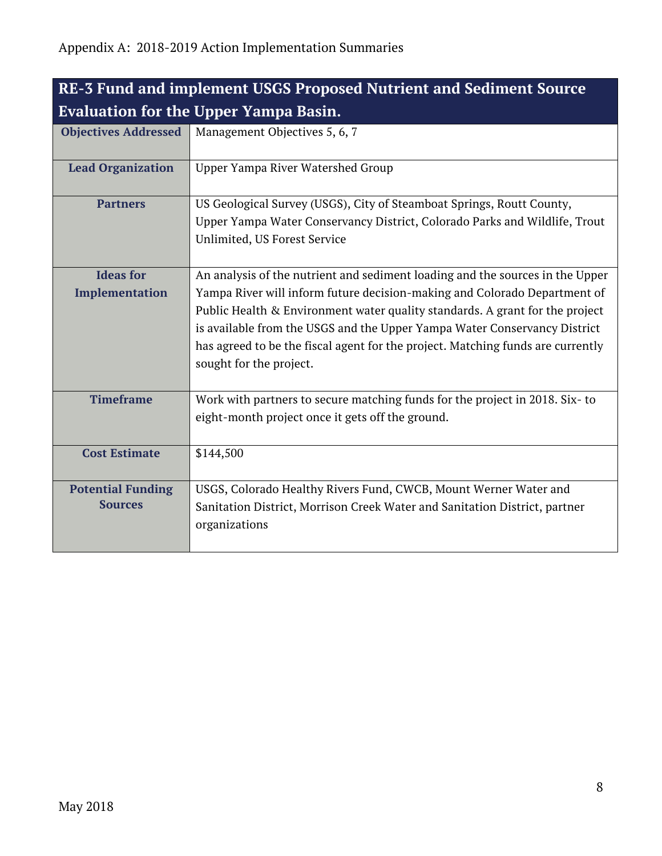<span id="page-7-0"></span>

| <b>RE-3 Fund and implement USGS Proposed Nutrient and Sediment Source</b> |                                                                                                                                                                                                                                                                                                                                                                                                                                       |  |
|---------------------------------------------------------------------------|---------------------------------------------------------------------------------------------------------------------------------------------------------------------------------------------------------------------------------------------------------------------------------------------------------------------------------------------------------------------------------------------------------------------------------------|--|
| <b>Evaluation for the Upper Yampa Basin.</b>                              |                                                                                                                                                                                                                                                                                                                                                                                                                                       |  |
| <b>Objectives Addressed</b>                                               | Management Objectives 5, 6, 7                                                                                                                                                                                                                                                                                                                                                                                                         |  |
| <b>Lead Organization</b>                                                  | Upper Yampa River Watershed Group                                                                                                                                                                                                                                                                                                                                                                                                     |  |
| <b>Partners</b>                                                           | US Geological Survey (USGS), City of Steamboat Springs, Routt County,<br>Upper Yampa Water Conservancy District, Colorado Parks and Wildlife, Trout<br>Unlimited, US Forest Service                                                                                                                                                                                                                                                   |  |
| <b>Ideas for</b><br>Implementation                                        | An analysis of the nutrient and sediment loading and the sources in the Upper<br>Yampa River will inform future decision-making and Colorado Department of<br>Public Health & Environment water quality standards. A grant for the project<br>is available from the USGS and the Upper Yampa Water Conservancy District<br>has agreed to be the fiscal agent for the project. Matching funds are currently<br>sought for the project. |  |
| <b>Timeframe</b>                                                          | Work with partners to secure matching funds for the project in 2018. Six-to<br>eight-month project once it gets off the ground.                                                                                                                                                                                                                                                                                                       |  |
| <b>Cost Estimate</b>                                                      | \$144,500                                                                                                                                                                                                                                                                                                                                                                                                                             |  |
| <b>Potential Funding</b><br><b>Sources</b>                                | USGS, Colorado Healthy Rivers Fund, CWCB, Mount Werner Water and<br>Sanitation District, Morrison Creek Water and Sanitation District, partner<br>organizations                                                                                                                                                                                                                                                                       |  |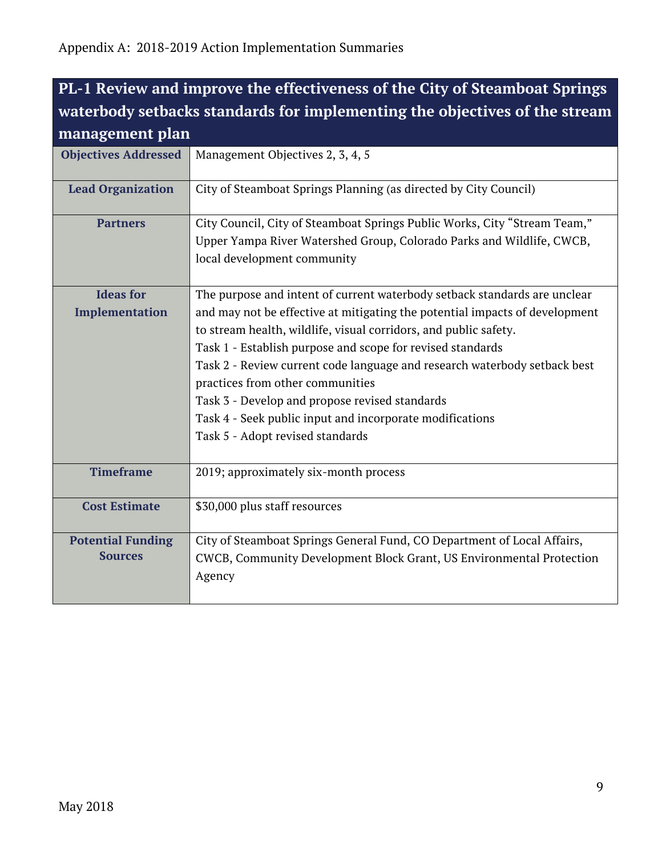# <span id="page-8-0"></span>**PL-1 Review and improve the effectiveness of the City of Steamboat Springs waterbody setbacks standards for implementing the objectives of the stream management plan**

| <b>Objectives Addressed</b>                | Management Objectives 2, 3, 4, 5                                                                                                                                                                                                                                                                                                                                                                                                                                                                                                                              |
|--------------------------------------------|---------------------------------------------------------------------------------------------------------------------------------------------------------------------------------------------------------------------------------------------------------------------------------------------------------------------------------------------------------------------------------------------------------------------------------------------------------------------------------------------------------------------------------------------------------------|
| <b>Lead Organization</b>                   | City of Steamboat Springs Planning (as directed by City Council)                                                                                                                                                                                                                                                                                                                                                                                                                                                                                              |
| <b>Partners</b>                            | City Council, City of Steamboat Springs Public Works, City "Stream Team,"<br>Upper Yampa River Watershed Group, Colorado Parks and Wildlife, CWCB,<br>local development community                                                                                                                                                                                                                                                                                                                                                                             |
| <b>Ideas for</b><br>Implementation         | The purpose and intent of current waterbody setback standards are unclear<br>and may not be effective at mitigating the potential impacts of development<br>to stream health, wildlife, visual corridors, and public safety.<br>Task 1 - Establish purpose and scope for revised standards<br>Task 2 - Review current code language and research waterbody setback best<br>practices from other communities<br>Task 3 - Develop and propose revised standards<br>Task 4 - Seek public input and incorporate modifications<br>Task 5 - Adopt revised standards |
| <b>Timeframe</b>                           | 2019; approximately six-month process                                                                                                                                                                                                                                                                                                                                                                                                                                                                                                                         |
| <b>Cost Estimate</b>                       | \$30,000 plus staff resources                                                                                                                                                                                                                                                                                                                                                                                                                                                                                                                                 |
| <b>Potential Funding</b><br><b>Sources</b> | City of Steamboat Springs General Fund, CO Department of Local Affairs,<br>CWCB, Community Development Block Grant, US Environmental Protection<br>Agency                                                                                                                                                                                                                                                                                                                                                                                                     |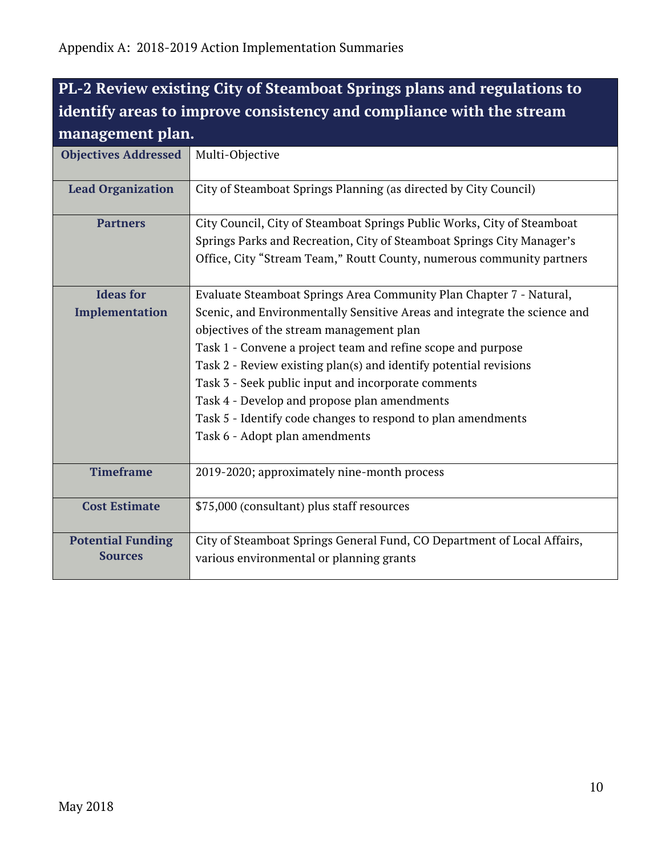# <span id="page-9-0"></span>**PL-2 Review existing City of Steamboat Springs plans and regulations to identify areas to improve consistency and compliance with the stream management plan.**

| <b>Objectives Addressed</b> | Multi-Objective                                                           |
|-----------------------------|---------------------------------------------------------------------------|
|                             |                                                                           |
|                             |                                                                           |
| <b>Lead Organization</b>    | City of Steamboat Springs Planning (as directed by City Council)          |
|                             |                                                                           |
| <b>Partners</b>             | City Council, City of Steamboat Springs Public Works, City of Steamboat   |
|                             | Springs Parks and Recreation, City of Steamboat Springs City Manager's    |
|                             | Office, City "Stream Team," Routt County, numerous community partners     |
|                             |                                                                           |
| <b>Ideas for</b>            | Evaluate Steamboat Springs Area Community Plan Chapter 7 - Natural,       |
| Implementation              | Scenic, and Environmentally Sensitive Areas and integrate the science and |
|                             | objectives of the stream management plan                                  |
|                             | Task 1 - Convene a project team and refine scope and purpose              |
|                             | Task 2 - Review existing plan(s) and identify potential revisions         |
|                             | Task 3 - Seek public input and incorporate comments                       |
|                             | Task 4 - Develop and propose plan amendments                              |
|                             | Task 5 - Identify code changes to respond to plan amendments              |
|                             | Task 6 - Adopt plan amendments                                            |
|                             |                                                                           |
| <b>Timeframe</b>            | 2019-2020; approximately nine-month process                               |
|                             |                                                                           |
| <b>Cost Estimate</b>        | \$75,000 (consultant) plus staff resources                                |
|                             |                                                                           |
| <b>Potential Funding</b>    | City of Steamboat Springs General Fund, CO Department of Local Affairs,   |
| <b>Sources</b>              | various environmental or planning grants                                  |
|                             |                                                                           |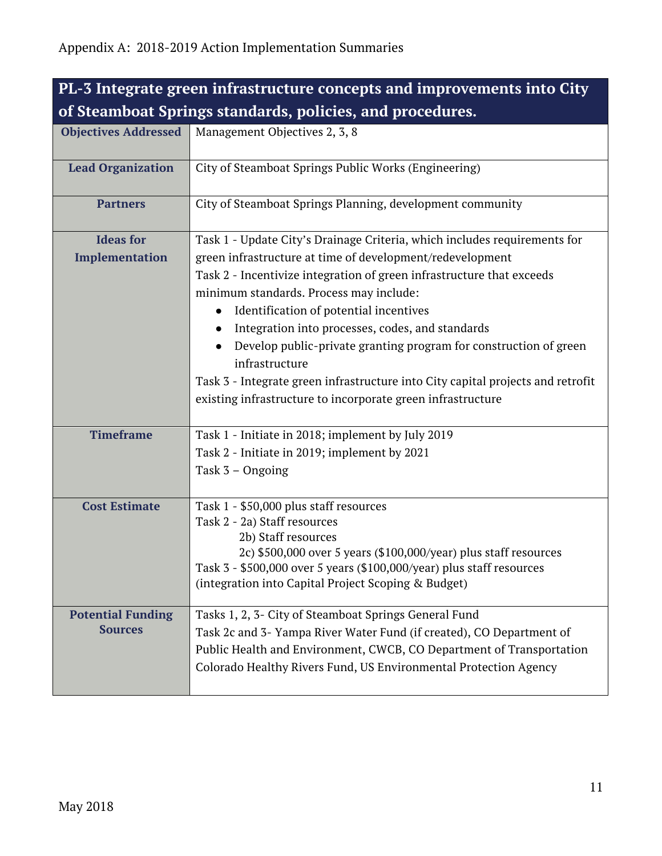<span id="page-10-0"></span>

| PL-3 Integrate green infrastructure concepts and improvements into City |                                                                                                                                           |
|-------------------------------------------------------------------------|-------------------------------------------------------------------------------------------------------------------------------------------|
| of Steamboat Springs standards, policies, and procedures.               |                                                                                                                                           |
| <b>Objectives Addressed</b>                                             | Management Objectives 2, 3, 8                                                                                                             |
|                                                                         |                                                                                                                                           |
| <b>Lead Organization</b>                                                | City of Steamboat Springs Public Works (Engineering)                                                                                      |
| <b>Partners</b>                                                         | City of Steamboat Springs Planning, development community                                                                                 |
| <b>Ideas for</b>                                                        | Task 1 - Update City's Drainage Criteria, which includes requirements for                                                                 |
| Implementation                                                          | green infrastructure at time of development/redevelopment                                                                                 |
|                                                                         | Task 2 - Incentivize integration of green infrastructure that exceeds                                                                     |
|                                                                         | minimum standards. Process may include:                                                                                                   |
|                                                                         | Identification of potential incentives                                                                                                    |
|                                                                         | Integration into processes, codes, and standards                                                                                          |
|                                                                         | Develop public-private granting program for construction of green                                                                         |
|                                                                         | infrastructure                                                                                                                            |
|                                                                         | Task 3 - Integrate green infrastructure into City capital projects and retrofit                                                           |
|                                                                         | existing infrastructure to incorporate green infrastructure                                                                               |
| <b>Timeframe</b>                                                        | Task 1 - Initiate in 2018; implement by July 2019                                                                                         |
|                                                                         | Task 2 - Initiate in 2019; implement by 2021                                                                                              |
|                                                                         | Task 3 - Ongoing                                                                                                                          |
|                                                                         |                                                                                                                                           |
| <b>Cost Estimate</b>                                                    | Task 1 - \$50,000 plus staff resources                                                                                                    |
|                                                                         | Task 2 - 2a) Staff resources                                                                                                              |
|                                                                         | 2b) Staff resources                                                                                                                       |
|                                                                         | 2c) \$500,000 over 5 years (\$100,000/year) plus staff resources<br>Task 3 - \$500,000 over 5 years (\$100,000/year) plus staff resources |
|                                                                         | (integration into Capital Project Scoping & Budget)                                                                                       |
|                                                                         |                                                                                                                                           |
| <b>Potential Funding</b>                                                | Tasks 1, 2, 3- City of Steamboat Springs General Fund                                                                                     |
| <b>Sources</b>                                                          | Task 2c and 3- Yampa River Water Fund (if created), CO Department of                                                                      |
|                                                                         | Public Health and Environment, CWCB, CO Department of Transportation                                                                      |
|                                                                         | Colorado Healthy Rivers Fund, US Environmental Protection Agency                                                                          |
|                                                                         |                                                                                                                                           |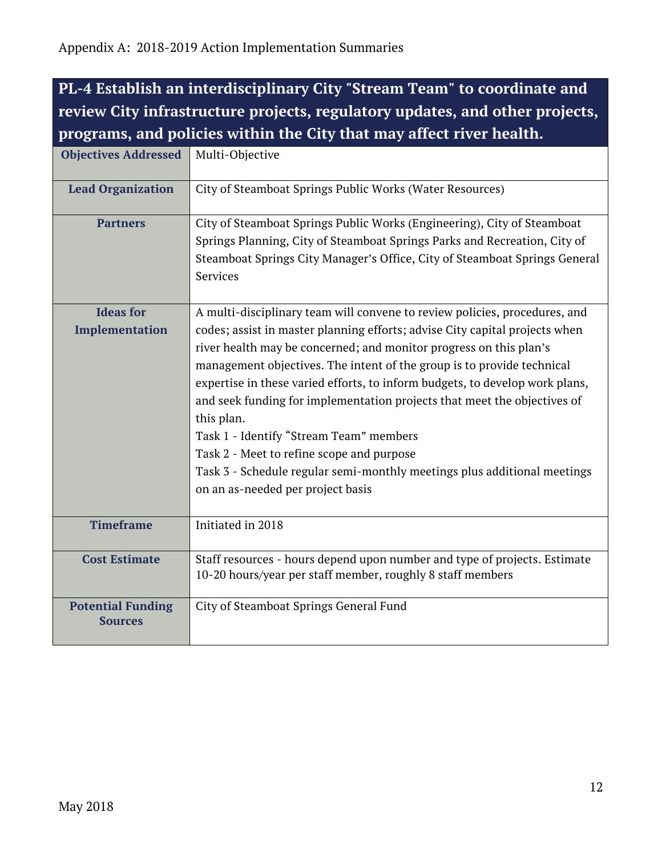<span id="page-11-0"></span>**PL-4 Establish an interdisciplinary City "Stream Team" to coordinate and review City infrastructure projects, regulatory updates, and other projects, programs, and policies within the City that may affect river health.**

| <b>Objectives Addressed</b> | Multi-Objective                                                              |
|-----------------------------|------------------------------------------------------------------------------|
| <b>Lead Organization</b>    | City of Steamboat Springs Public Works (Water Resources)                     |
| <b>Partners</b>             | City of Steamboat Springs Public Works (Engineering), City of Steamboat      |
|                             | Springs Planning, City of Steamboat Springs Parks and Recreation, City of    |
|                             | Steamboat Springs City Manager's Office, City of Steamboat Springs General   |
|                             | Services                                                                     |
|                             |                                                                              |
| <b>Ideas for</b>            | A multi-disciplinary team will convene to review policies, procedures, and   |
| Implementation              | codes; assist in master planning efforts; advise City capital projects when  |
|                             | river health may be concerned; and monitor progress on this plan's           |
|                             | management objectives. The intent of the group is to provide technical       |
|                             | expertise in these varied efforts, to inform budgets, to develop work plans, |
|                             | and seek funding for implementation projects that meet the objectives of     |
|                             | this plan.                                                                   |
|                             | Task 1 - Identify "Stream Team" members                                      |
|                             | Task 2 - Meet to refine scope and purpose                                    |
|                             | Task 3 - Schedule regular semi-monthly meetings plus additional meetings     |
|                             | on an as-needed per project basis                                            |
|                             |                                                                              |
| <b>Timeframe</b>            | Initiated in 2018                                                            |
|                             |                                                                              |
| <b>Cost Estimate</b>        | Staff resources - hours depend upon number and type of projects. Estimate    |
|                             | 10-20 hours/year per staff member, roughly 8 staff members                   |
| <b>Potential Funding</b>    | City of Steamboat Springs General Fund                                       |
| <b>Sources</b>              |                                                                              |
|                             |                                                                              |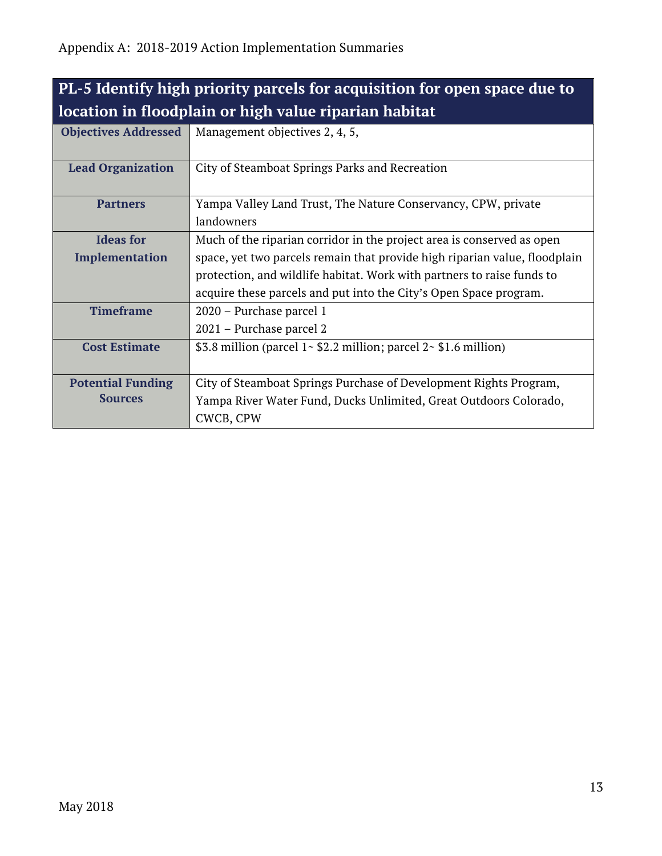| PL-5 Identify high priority parcels for acquisition for open space due to |                                                                            |
|---------------------------------------------------------------------------|----------------------------------------------------------------------------|
| location in floodplain or high value riparian habitat                     |                                                                            |
| <b>Objectives Addressed</b>                                               | Management objectives 2, 4, 5,                                             |
| <b>Lead Organization</b>                                                  | City of Steamboat Springs Parks and Recreation                             |
| <b>Partners</b>                                                           | Yampa Valley Land Trust, The Nature Conservancy, CPW, private              |
|                                                                           | landowners                                                                 |
| <b>Ideas for</b>                                                          | Much of the riparian corridor in the project area is conserved as open     |
| <b>Implementation</b>                                                     | space, yet two parcels remain that provide high riparian value, floodplain |
|                                                                           | protection, and wildlife habitat. Work with partners to raise funds to     |
|                                                                           | acquire these parcels and put into the City's Open Space program.          |
| <b>Timeframe</b>                                                          | 2020 - Purchase parcel 1                                                   |
|                                                                           | 2021 – Purchase parcel 2                                                   |
| <b>Cost Estimate</b>                                                      | \$3.8 million (parcel $1 - $2.2$ million; parcel $2 - $1.6$ million)       |
| <b>Potential Funding</b>                                                  | City of Steamboat Springs Purchase of Development Rights Program,          |
| <b>Sources</b>                                                            | Yampa River Water Fund, Ducks Unlimited, Great Outdoors Colorado,          |
|                                                                           | CWCB, CPW                                                                  |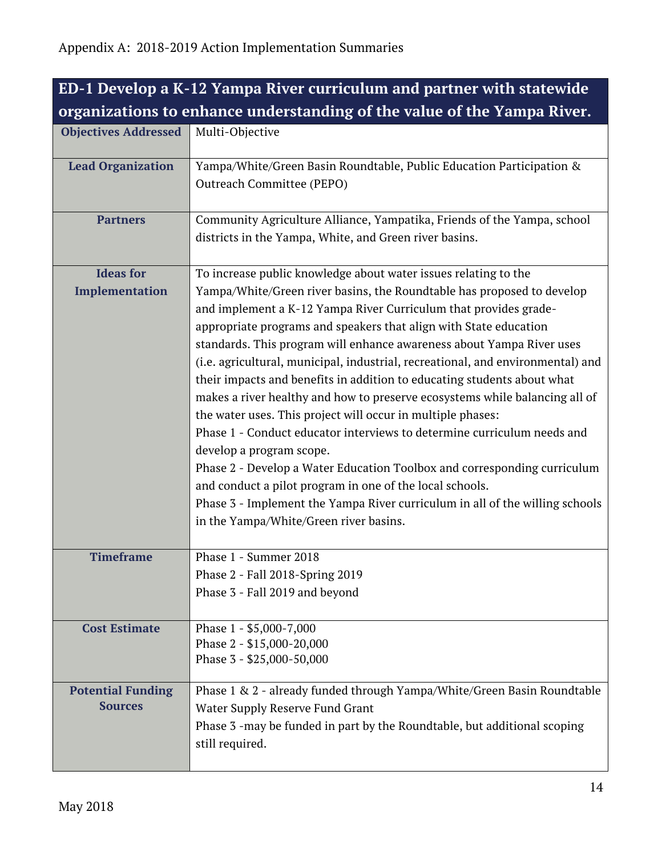| ED-1 Develop a K-12 Yampa River curriculum and partner with statewide   |                                                                                                                                                                                                                                                                                                                                                                                                                                                                                                                                                                                                                                                                                                                                                                                                                                                                                                                                                                                                                                                  |
|-------------------------------------------------------------------------|--------------------------------------------------------------------------------------------------------------------------------------------------------------------------------------------------------------------------------------------------------------------------------------------------------------------------------------------------------------------------------------------------------------------------------------------------------------------------------------------------------------------------------------------------------------------------------------------------------------------------------------------------------------------------------------------------------------------------------------------------------------------------------------------------------------------------------------------------------------------------------------------------------------------------------------------------------------------------------------------------------------------------------------------------|
| organizations to enhance understanding of the value of the Yampa River. |                                                                                                                                                                                                                                                                                                                                                                                                                                                                                                                                                                                                                                                                                                                                                                                                                                                                                                                                                                                                                                                  |
| <b>Objectives Addressed</b>                                             | Multi-Objective                                                                                                                                                                                                                                                                                                                                                                                                                                                                                                                                                                                                                                                                                                                                                                                                                                                                                                                                                                                                                                  |
| <b>Lead Organization</b>                                                | Yampa/White/Green Basin Roundtable, Public Education Participation &<br>Outreach Committee (PEPO)                                                                                                                                                                                                                                                                                                                                                                                                                                                                                                                                                                                                                                                                                                                                                                                                                                                                                                                                                |
| <b>Partners</b>                                                         | Community Agriculture Alliance, Yampatika, Friends of the Yampa, school<br>districts in the Yampa, White, and Green river basins.                                                                                                                                                                                                                                                                                                                                                                                                                                                                                                                                                                                                                                                                                                                                                                                                                                                                                                                |
| <b>Ideas for</b><br>Implementation                                      | To increase public knowledge about water issues relating to the<br>Yampa/White/Green river basins, the Roundtable has proposed to develop<br>and implement a K-12 Yampa River Curriculum that provides grade-<br>appropriate programs and speakers that align with State education<br>standards. This program will enhance awareness about Yampa River uses<br>(i.e. agricultural, municipal, industrial, recreational, and environmental) and<br>their impacts and benefits in addition to educating students about what<br>makes a river healthy and how to preserve ecosystems while balancing all of<br>the water uses. This project will occur in multiple phases:<br>Phase 1 - Conduct educator interviews to determine curriculum needs and<br>develop a program scope.<br>Phase 2 - Develop a Water Education Toolbox and corresponding curriculum<br>and conduct a pilot program in one of the local schools.<br>Phase 3 - Implement the Yampa River curriculum in all of the willing schools<br>in the Yampa/White/Green river basins. |
| <b>Timeframe</b>                                                        | Phase 1 - Summer 2018<br>Phase 2 - Fall 2018-Spring 2019<br>Phase 3 - Fall 2019 and beyond                                                                                                                                                                                                                                                                                                                                                                                                                                                                                                                                                                                                                                                                                                                                                                                                                                                                                                                                                       |
| <b>Cost Estimate</b>                                                    | Phase 1 - \$5,000-7,000<br>Phase 2 - \$15,000-20,000<br>Phase 3 - \$25,000-50,000                                                                                                                                                                                                                                                                                                                                                                                                                                                                                                                                                                                                                                                                                                                                                                                                                                                                                                                                                                |
| <b>Potential Funding</b><br><b>Sources</b>                              | Phase 1 & 2 - already funded through Yampa/White/Green Basin Roundtable<br>Water Supply Reserve Fund Grant<br>Phase 3 -may be funded in part by the Roundtable, but additional scoping<br>still required.                                                                                                                                                                                                                                                                                                                                                                                                                                                                                                                                                                                                                                                                                                                                                                                                                                        |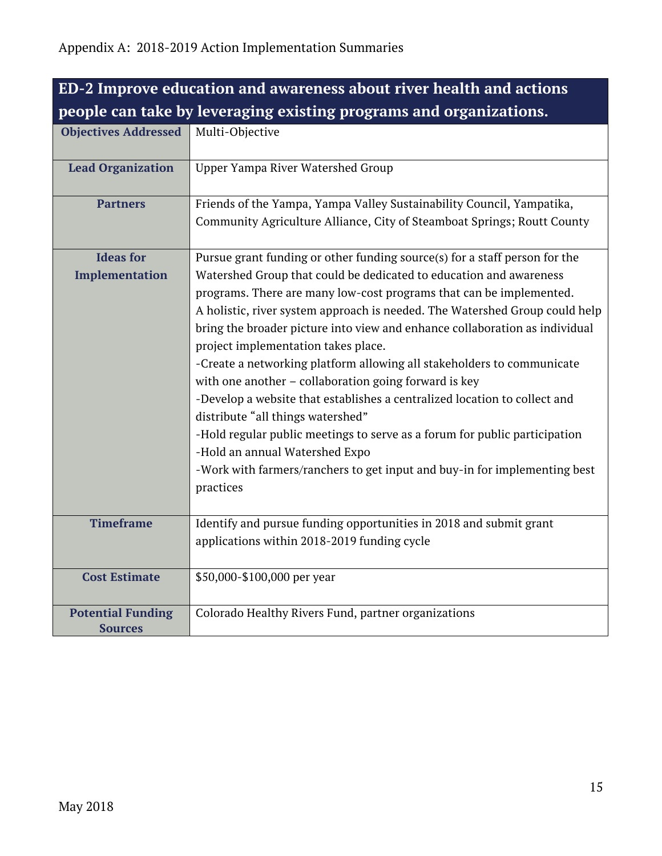<span id="page-14-0"></span>

| ED-2 Improve education and awareness about river health and actions |                                                                                                                                                                                                                                                                                                                                                                                                                                                                                                                                                                                                                                                                                                                                                                                                                                                                                             |
|---------------------------------------------------------------------|---------------------------------------------------------------------------------------------------------------------------------------------------------------------------------------------------------------------------------------------------------------------------------------------------------------------------------------------------------------------------------------------------------------------------------------------------------------------------------------------------------------------------------------------------------------------------------------------------------------------------------------------------------------------------------------------------------------------------------------------------------------------------------------------------------------------------------------------------------------------------------------------|
| people can take by leveraging existing programs and organizations.  |                                                                                                                                                                                                                                                                                                                                                                                                                                                                                                                                                                                                                                                                                                                                                                                                                                                                                             |
| <b>Objectives Addressed</b>                                         | Multi-Objective                                                                                                                                                                                                                                                                                                                                                                                                                                                                                                                                                                                                                                                                                                                                                                                                                                                                             |
| <b>Lead Organization</b>                                            | <b>Upper Yampa River Watershed Group</b>                                                                                                                                                                                                                                                                                                                                                                                                                                                                                                                                                                                                                                                                                                                                                                                                                                                    |
| <b>Partners</b>                                                     | Friends of the Yampa, Yampa Valley Sustainability Council, Yampatika,<br>Community Agriculture Alliance, City of Steamboat Springs; Routt County                                                                                                                                                                                                                                                                                                                                                                                                                                                                                                                                                                                                                                                                                                                                            |
| <b>Ideas for</b><br>Implementation                                  | Pursue grant funding or other funding source(s) for a staff person for the<br>Watershed Group that could be dedicated to education and awareness<br>programs. There are many low-cost programs that can be implemented.<br>A holistic, river system approach is needed. The Watershed Group could help<br>bring the broader picture into view and enhance collaboration as individual<br>project implementation takes place.<br>-Create a networking platform allowing all stakeholders to communicate<br>with one another - collaboration going forward is key<br>-Develop a website that establishes a centralized location to collect and<br>distribute "all things watershed"<br>-Hold regular public meetings to serve as a forum for public participation<br>-Hold an annual Watershed Expo<br>-Work with farmers/ranchers to get input and buy-in for implementing best<br>practices |
| <b>Timeframe</b>                                                    | Identify and pursue funding opportunities in 2018 and submit grant<br>applications within 2018-2019 funding cycle                                                                                                                                                                                                                                                                                                                                                                                                                                                                                                                                                                                                                                                                                                                                                                           |
| <b>Cost Estimate</b>                                                | \$50,000-\$100,000 per year                                                                                                                                                                                                                                                                                                                                                                                                                                                                                                                                                                                                                                                                                                                                                                                                                                                                 |
| <b>Potential Funding</b><br><b>Sources</b>                          | Colorado Healthy Rivers Fund, partner organizations                                                                                                                                                                                                                                                                                                                                                                                                                                                                                                                                                                                                                                                                                                                                                                                                                                         |